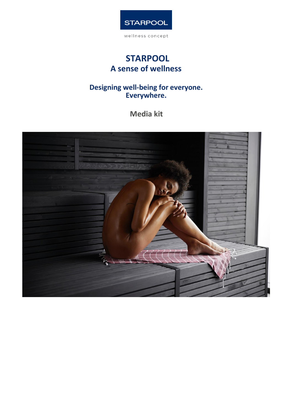

# **STARPOOL A sense of wellness**

# **Designing well-being for everyone. Everywhere.**

**Media kit**

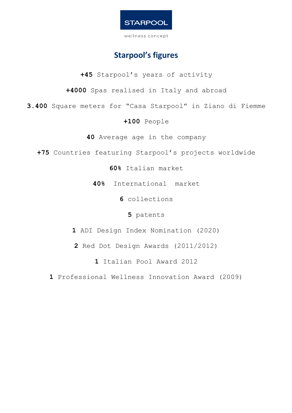

# **Starpool's figures**

**+45** Starpool's years of activity

**+4000** Spas realised in Italy and abroad

**3.400** Square meters for "Casa Starpool" in Ziano di Fiemme

## **+100** People

**40** Average age in the company

**+75** Countries featuring Starpool's projects worldwide

**60%** Italian market

**40%** International market

**6** collections

**5** patents

**1** ADI Design Index Nomination (2020)

**2** Red Dot Design Awards (2011/2012)

**1** Italian Pool Award 2012

**1** Professional Wellness Innovation Award (2009)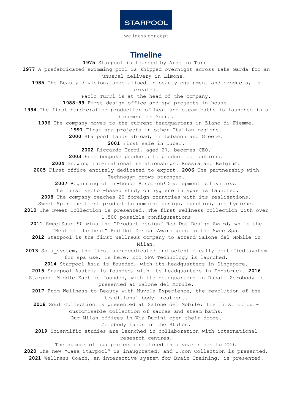wellness concept

# **Timeline**

**1975** Starpool is founded by Ardelio Turri **1977** A prefabricated swimming pool is shipped overnight across Lake Garda for an unusual delivery in Limone. **1985** The Beauty division, specialised in beauty equipment and products, is created. Paolo Turri is at the head of the company. **1988-89** First design office and spa projects in house. **1994** The first hand-crafted production of heat and steam baths is launched in a basement in Moena. **1996** The company moves to the current headquarters in Ziano di Fiemme. **1997** First spa projects in other Italian regions. **2000** Starpool lands abroad, in Lebanon and Greece. **2001** First sale in Dubai. **2002** Riccardo Turri, aged 27, becomes CEO. **2003** From bespoke products to product collections. **2004** Growing international relationships: Russia and Belgium. **2005** First office entirely dedicated to export. **2006** The partnership with Technogym grows stronger. **2007** Beginning of in-house Research&Development activities. The first sector-based study on hygiene in spas is launched. **2008** The company reaches 20 foreign countries with its realisations. Sweet Spa: the first product to combine design, function, and hygiene. **2010** The Sweet Collection is presented. The first wellness collection with over 1.500 possible configurations **2011** SweetSauna90 wins the "Product design" Red Dot Design Award, while the "Best of the best" Red Dot Design Award goes to the SweetSpa. **2012** Starpool is the first wellness company to attend Salone del Mobile in Milan. 2013 Sp.a system, the first user-dedicated and scientifically certified system for spa use, is here. Eco SPA Technology is launched. **2014** Starpool Asia is founded, with its headquarters in Singapore. **2015** Srarpool Austria is founded, with its headquarters in Innsbruck. **2016** Starpool Middle East is founded, with its headquarters in Dubai. Zerobody is presented at Salone del Mobile. **2017** From Wellness to Beauty with Nuvola Experience, the revolution of the traditional body treatment. **2018** Soul Collection is presented at Salone del Mobile: the first colourcustomisable collection of saunas and steam baths. Our Milan offices in Via Durini open their doors. Zerobody lands in the States. **2019** Scientific studies are launched in collaboration with international research centres. The number of spa projects realised in a year rises to 220. **2020** The new "Casa Starpool" is inaugurated, and I.con Collection is presented. **2021** Wellness Coach, an interactive system for Brain Training, is presented.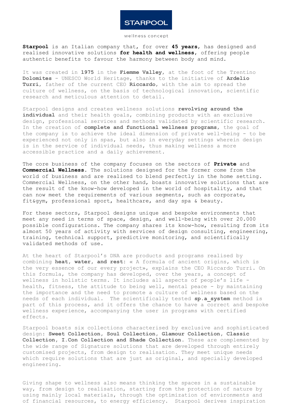#### wellness concept

**Starpool** is an Italian company that, for over **45 years**, has designed and realised innovative solutions **for health and wellness**, offering people authentic benefits to favour the harmony between body and mind.

It was created in **1975** in the **Fiemme Valley**, at the foot of the Trentino **Dolomites** - UNESCO World Heritage, thanks to the initiative of **Ardelio Turri**, father of the current CEO **Riccardo**, with the aim to spread the culture of wellness, on the basis of technological innovation, scientific research and meticulous attention to detail.

Starpool designs and creates wellness solutions **revolving around the individual** and their health goals, combining products with an exclusive design, professional services and methods validated by scientific research. In the creation of **complete and functional wellness programs**, the goal of the company is to achieve the ideal dimension of private well-being - to be experienced not only in spas, but also in everyday settings wherein design is in the service of individual needs, thus making wellness a more accessible practice and a daily achievement.

The core business of the company focuses on the sectors of **Private** and **Commercial Wellness**. The solutions designed for the former come from the world of business and are realised to blend perfectly in the home setting. Commercial Wellness, on the other hand, boasts innovative solutions that are the result of the know-how developed in the world of hospitality, and that can now meet the requirements of various segments, such as corporate, fit&gym, professional sport, healthcare, and day spa & beauty.

For these sectors, Starpool designs unique and bespoke environments that meet any need in terms of space, design, and well-being with over 20.000 possible configurations. The company shares its know-how, resulting from its almost 50 years of activity with services of design consulting, engineering, training, technical support, predictive monitoring, and scientifically validated methods of use.

At the heart of Starpool's DNA are products and programs realised by combining **heat, water, and rest:** « A formula of ancient origins, which is the very essence of our every project», explains the CEO Riccardo Turri. On this formula, the company has developed, over the years, a concept of wellness in holistic terms. It includes all aspects of people's life health, fitness, the attitude to being well, mental peace - by maintaining the importance and the need to promote a culture of wellness based on the needs of each individual. The scientifically tested **sp.a\_system** method is part of this process, and it offers the chance to have a correct and bespoke wellness experience, accompanying the user in programs with certified effects.

Starpool boasts six collections characterised by exclusive and sophisticated design: **Sweet Collection, Soul Collection, Glamour Collection, Classic Collection, I.Con Collection and Shade Collection**. These are complemented by the wide range of Signature solutions that are developed through entirely customised projects, from design to realisation. They meet unique needs which require solutions that are just as original, and specially developed engineering.

Giving shape to wellness also means thinking the spaces in a sustainable way, from design to realisation, starting from the protection of nature by using mainly local materials, through the optimization of environments and of financial resources, to energy efficiency. Starpool derives inspiration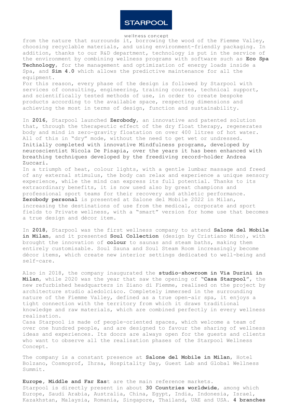#### wellness concept

from the nature that surrounds it, borrowing the wood of the Fiemme Valley, choosing recyclable materials, and using environment-friendly packaging. In addition, thanks to our R&D department, technology is put in the service of the environment by combining wellness programs with software such as **Eco Spa Technology**, for the management and optimization of energy loads inside a Spa, and **Sim 4.0** which allows the predictive maintenance for all the equipment.

For this reason, every phase of the design is followed by Starpool with services of consulting, engineering, training courses, technical support, and scientifically tested methods of use, in order to create bespoke products according to the available space, respecting dimensions and achieving the most in terms of design, function and sustainability.

In **2016**, Starpool launched **Zerobody**, an innovative and patented solution that, through the therapeutic effect of the dry float therapy, regenerates body and mind in zero-gravity floatation on over 400 litres of hot water. All of this in "dry" mode, without the need to get wet or undressed. Initially completed with innovative Mindfulness programs, developed by neuroscientist Nicola De Pisapia, over the years it has been enhanced with breathing techniques developed by the freediving record-holder Andrea Zuccari.

In a triumph of heat, colour lights, with a gentle lumbar massage and freed of any external stimulus, the body can relax and experience a unique sensory experience, while the mind can express its full potential. Thanks to its extraordinary benefits, it is now used also by great champions and professional sport teams for their recovery and athletic performance. **Zerobody personal** is presented at Salone del Mobile 2022 in Milan, increasing the destinations of use from the medical, corporate and sport fields to Private wellness, with a "smart" version for home use that becomes a true design and décor item.

In **2018**, Starpool was the first wellness company to attend **Salone del Mobile in Milan**, and it presented **Soul Collection** (design by Cristiano Mino), with brought the innovation of **colour** to saunas and steam baths, making them entirely customisable. Soul Sauna and Soul Steam Room increasingly become décor items, which create new interior settings dedicated to well-being and self-care.

Also in 2018, the company inaugurated the **studio-showroom in Via Durini in Milan**, while 2020 was the year that saw the opening of **"Casa Starpool"**, the new refurbished headquarters in Ziano di Fiemme, realised on the project by architecture studio aledolci&co. Completely immersed in the surrounding nature of the Fiemme Valley, defined as a true open-air spa, it enjoys a tight connection with the territory from which it draws traditional knowledge and raw materials, which are combined perfectly in every wellness realisation.

Casa Starpool is made of people-oriented spaces, which welcome a team of over one hundred people, and are designed to favour the sharing of wellness ideas and experiences. Its doors are always open for the guests and clients who want to observe all the realisation phases of the Starpool Wellness Concept.

The company is a constant presence at **Salone del Mobile in Milan**, Hotel Bolzano, Cosmoprof, Ihrsa, Hospitality Day, Guest Lab and Global Wellness Summit.

**Europe, Middle and Far Eas**t are the main reference markets. Starpool is directly present in about **30 Countries worldwide**, among which Europe, Saudi Arabia, Australia, China, Egypt, India, Indonesia, Israel, Kazakhstan, Malaysia, Romania, Singapore, Thailand, UAE and USA. **4 branches**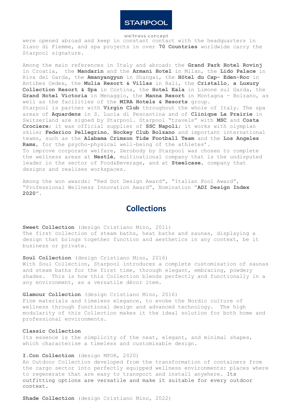

were opened abroad and keep in constant contact with the headquarters in Ziano di Fiemme, and spa projects in over **70 Countries** worldwide carry the Starpool signature.

Among the main references in Italy and abroad: the **Grand Park Hotel Rovinj**  in Croatia, the **Mandarin** and the **Armani Hotel** in Milan, the **Lido Palace** in Riva del Garda, the **Amanyangyun** in Shangai, the **Hôtel du Cap- Eden-Roc** in Antibes Cedex, the **Mulia Resort & Villas** in Bali, the **Cristallo, a Luxury Collection Resort & Spa** in Cortina, the **Hotel Eala** in Limone sul Garda, the **Grand Hotel Victoria** in Menaggio, the **Manna Resort** in Montagna - Bolzano, as well as the facilities of the **MIRA Hotels & Resorts** group. Starpool is partner with **Virgin Club** throughout the whole of Italy. The spa areas of **Aquardens** in S. Lucia di Pescantina and of **Clinique La Prairie** in Switzerland are signed by Starpool. Starpool "travels" with **MSC** and **Costa Crociere**; it was official supplier of **SSC Napoli**; it works with olympian skiier **Federico Pellegrino**, **Hockey Club Bolzano** and important international teams, such as the **Alabama Crimson Tide Football Team** and the **Los Angeles Rams**, for the psycho-physical well-being of the athletes'. To improve corporate welfare, Zerobody by Starpool was chosen to complete the wellness areas at **Nestlé**, multinational company that is the undisputed leader in the sector of Food&Beverage, and at **Steelcase**, company that designs and realises workspaces.

Among the won awards: "Red Dot Design Award", "Italian Pool Award", "Professional Wellness Innovation Award", Nomination "**ADI Design Index 2020**".

## **Collections**

**Sweet Collection** (design Cristiano Mino, 2011) The first collection of steam baths, heat baths and saunas, displaying a design that brings together function and aesthetics in any context, be it business or private.

## **Soul Collection** (design Cristiano Mino, 2016)

With Soul Collection, Starpool introduces a complete customisation of saunas and steam baths for the first time, through elegant, embracing, powdery shades. This is how this Collection blends perfectly and functionally in a any environment, as a versatile décor item.

## **Glamour Collection** (design Cristiano Mino, 2016)

Fine materials and timeless elegance, to evoke the Nordic culture of wellness through functional design and advanced technology. The high modularity of this Collection makes it the ideal solution for both home and professional environments.

## **Classic Collection**

Its essence is the simplicity of the neat, elegant, and minimal shapes, which characterise a timeless and customisable design.

#### **I.Con Collection** (design MFOR, 2020)

An Outdoor Collection developed from the transformation of containers from the cargo sector into perfectly equipped wellness environments: places where to regenerate that are easy to transport and install anywhere. Its outfitting options are versatile and make it suitable for every outdoor context.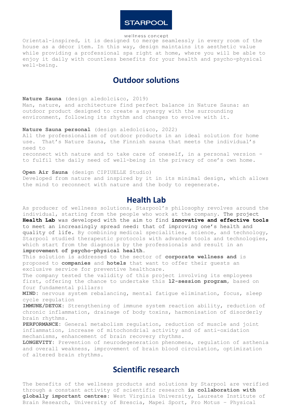#### wellness concept

Oriental-inspired, it is designed to merge seamlessly in every room of the house as a décor item. In this way, design maintains its aesthetic value while providing a professional spa right at home, where you will be able to enjoy it daily with countless benefits for your health and psycho-physical well-being.

# **Outdoor solutions**

### **Nature Sauna** (design aledolci&co, 2019)

Man, nature, and architecture find perfect balance in Nature Sauna: an outdoor product designed to create a synergy with the surrounding environment, following its rhythm and changes to evolve with it.

### **Nature Sauna personal** (design aledolci&co, 2022)

All the professionalism of outdoor products in an ideal solution for home use. That's Nature Sauna, the Finnish sauna that meets the individual's need to

reconnect with nature and to take care of oneself, in a personal version to fulfil the daily need of well-being in the privacy of one's own home.

### **Open Air Sauna** (design CIPIUELLE Studio)

Developed from nature and inspired by it in its minimal design, which allows the mind to reconnect with nature and the body to regenerate.

## **Health Lab**

As producer of wellness solutions, Starpool's philosophy revolves around the individual, starting from the people who work at the company. The project **Health Lab** was developed with the aim to find **innovative and effective tools** to meet an increasingly spread need: that of improving one's health and quality of life. By combining medical specialities, science, and technology, Starpool studied therapeutic protocols with advanced tools and technologies, which start from the diagnosis by the professionals and result in an **improvement of psycho-physical health.**

This solution is addressed to the sector of **corporate wellness and** is proposed to **companies** and **hotels** that want to offer their guests an exclusive service for preventive healthcare.

The company tested the validity of this project involving its employees first, offering the chance to undertake this **12-session program**, based on four fundamental pillars:

**MIND:** nervous system rebalancing, mental fatigue elimination, focus, sleep cycle regulation

**IMMUNE/DETOX:** Strengthening of immune system reaction ability, reduction of chronic inflammation, drainage of body toxins, harmonisation of disorderly brain rhythms.

**PERFORMANCE:** General metabolism regulation, reduction of muscle and joint inflammation, increase of mitochondrial activity and of anti-oxidation mechanisms, enhancement of brain recovery rhythms.

**LONGEVITY:** Prevention of neurodegeneration phenomena, regulation of asthenia and overall weakness, improvement of brain blood circulation, optimization of altered brain rhythms.

## **Scientific research**

The benefits of the wellness products and solutions by Starpool are verified through a constant activity of scientific research **in collaboration with globally important centres**: West Virginia University, Laureate Institute of Brain Research, University of Brescia, Mapei Sport, Pro Motus – Physical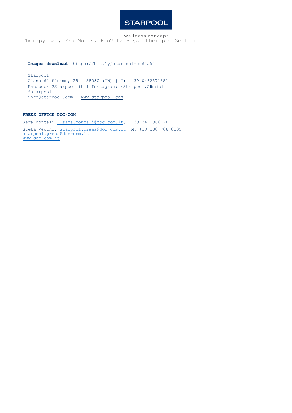wellness concept Therapy Lab, Pro Motus, ProVita Physiotherapie Zentrum.

**Images download:** https://bit.ly/starpool-mediakit

Starpool Ziano di Fiemme, 25 – 38030 (TN) | T: + 39 0462571881 Facebook @Starpool.it | Instagram: @Starpool.Official | #starpool [info@starpool.com -](mailto:info@starpool.com) [www.starpool.com](http://www.starpool.com/)

#### **PRESS OFFICE DOC-COM**

Sara Montali [, sara.montali@doc-com.it,](mailto:sara.montali@doc-com.it) + 39 347 966770 Greta Vecchi, [starpool.press@doc-com.it,](mailto:starpool.press@doc-com.it) M. +39 338 708 8335 [starpool.press@doc-com.it](mailto:starpool.press@doc-com.it) [www.doc-com.it](http://www.doc-com.it/)